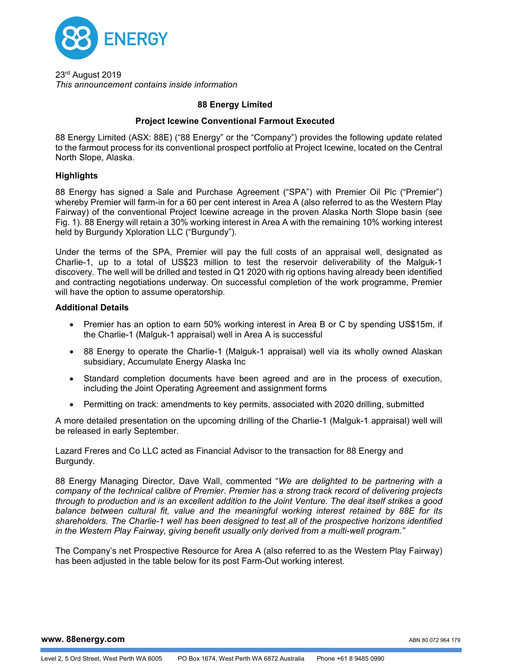

23rd August 2019 *This announcement contains inside information* 

# **88 Energy Limited**

### **Project Icewine Conventional Farmout Executed**

88 Energy Limited (ASX: 88E) ("88 Energy" or the "Company") provides the following update related to the farmout process for its conventional prospect portfolio at Project Icewine, located on the Central North Slope, Alaska.

## **Highlights**

88 Energy has signed a Sale and Purchase Agreement ("SPA") with Premier Oil Plc ("Premier") whereby Premier will farm-in for a 60 per cent interest in Area A (also referred to as the Western Play Fairway) of the conventional Project Icewine acreage in the proven Alaska North Slope basin (see Fig. 1). 88 Energy will retain a 30% working interest in Area A with the remaining 10% working interest held by Burgundy Xploration LLC ("Burgundy").

Under the terms of the SPA, Premier will pay the full costs of an appraisal well, designated as Charlie-1, up to a total of US\$23 million to test the reservoir deliverability of the Malguk-1 discovery. The well will be drilled and tested in Q1 2020 with rig options having already been identified and contracting negotiations underway. On successful completion of the work programme, Premier will have the option to assume operatorship.

### **Additional Details**

- Premier has an option to earn 50% working interest in Area B or C by spending US\$15m, if the Charlie-1 (Malguk-1 appraisal) well in Area A is successful
- 88 Energy to operate the Charlie-1 (Malguk-1 appraisal) well via its wholly owned Alaskan subsidiary, Accumulate Energy Alaska Inc
- Standard completion documents have been agreed and are in the process of execution, including the Joint Operating Agreement and assignment forms
- Permitting on track: amendments to key permits, associated with 2020 drilling, submitted

A more detailed presentation on the upcoming drilling of the Charlie-1 (Malguk-1 appraisal) well will be released in early September.

Lazard Freres and Co LLC acted as Financial Advisor to the transaction for 88 Energy and Burgundy.

88 Energy Managing Director, Dave Wall, commented "*We are delighted to be partnering with a company of the technical calibre of Premier*. *Premier has a strong track record of delivering projects through to production and is an excellent addition to the Joint Venture. The deal itself strikes a good balance between cultural fit, value and the meaningful working interest retained by 88E for its shareholders. The Charlie-1 well has been designed to test all of the prospective horizons identified in the Western Play Fairway, giving benefit usually only derived from a multi-well program."* 

The Company's net Prospective Resource for Area A (also referred to as the Western Play Fairway) has been adjusted in the table below for its post Farm-Out working interest.

**www. 88energy.com** 

ABN 80 072 964 179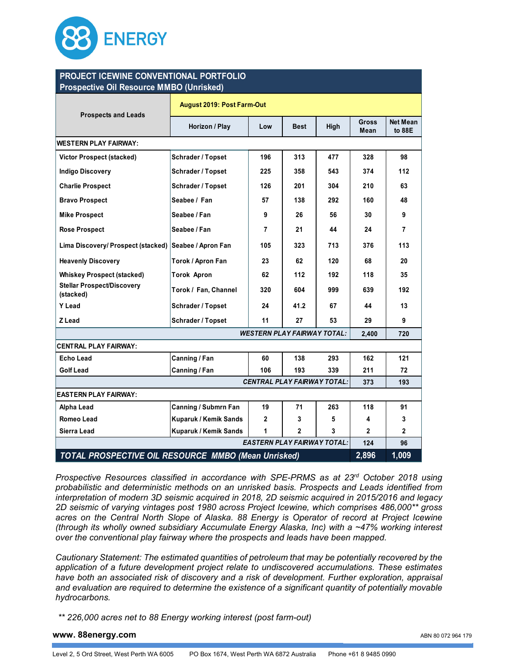

### **Prospective Oil Resource MMBO (Unrisked) PROJECT ICEWINE CONVENTIONAL PORTFOLIO**

| Prospective Oil Resource Million (Officially               |                                   |                |             |      |                      |                    |
|------------------------------------------------------------|-----------------------------------|----------------|-------------|------|----------------------|--------------------|
| <b>Prospects and Leads</b>                                 | <b>August 2019: Post Farm-Out</b> |                |             |      |                      |                    |
|                                                            | Horizon / Play                    | Low            | <b>Best</b> | High | <b>Gross</b><br>Mean | Net Mean<br>to 88E |
| <b>WESTERN PLAY FAIRWAY:</b>                               |                                   |                |             |      |                      |                    |
| <b>Victor Prospect (stacked)</b>                           | Schrader / Topset                 | 196            | 313         | 477  | 328                  | 98                 |
| <b>Indigo Discovery</b>                                    | <b>Schrader / Topset</b>          | 225            | 358         | 543  | 374                  | 112                |
| <b>Charlie Prospect</b>                                    | <b>Schrader / Topset</b>          | 126            | 201         | 304  | 210                  | 63                 |
| <b>Bravo Prospect</b>                                      | Seabee / Fan                      | 57             | 138         | 292  | 160                  | 48                 |
| <b>Mike Prospect</b>                                       | Seabee / Fan                      | 9              | 26          | 56   | 30                   | 9                  |
| <b>Rose Prospect</b>                                       | Seabee / Fan                      | $\overline{7}$ | 21          | 44   | 24                   | 7                  |
| Lima Discovery/ Prospect (stacked)                         | Seabee / Apron Fan                | 105            | 323         | 713  | 376                  | 113                |
| <b>Heavenly Discovery</b>                                  | Torok / Apron Fan                 | 23             | 62          | 120  | 68                   | 20                 |
| <b>Whiskey Prospect (stacked)</b>                          | <b>Torok Apron</b>                | 62             | 112         | 192  | 118                  | 35                 |
| <b>Stellar Prospect/Discovery</b><br>(stacked)             | Torok / Fan, Channel              | 320            | 604         | 999  | 639                  | 192                |
| Y Lead                                                     | Schrader / Topset                 | 24             | 41.2        | 67   | 44                   | 13                 |
| Z Lead                                                     | Schrader / Topset                 | 11             | 27          | 53   | 29                   | 9                  |
| <b>WESTERN PLAY FAIRWAY TOTAL:</b>                         |                                   |                |             |      | 2,400                | 720                |
| <b>CENTRAL PLAY FAIRWAY:</b>                               |                                   |                |             |      |                      |                    |
| <b>Echo Lead</b>                                           | Canning / Fan                     | 60             | 138         | 293  | 162                  | 121                |
| <b>Golf Lead</b>                                           | Canning / Fan                     | 106            | 193         | 339  | 211                  | 72                 |
| <b>CENTRAL PLAY FAIRWAY TOTAL:</b>                         |                                   |                |             |      | 373                  | 193                |
| <b>EASTERN PLAY FAIRWAY:</b>                               |                                   |                |             |      |                      |                    |
| Alpha Lead                                                 | Canning / Submrn Fan              | 19             | 71          | 263  | 118                  | 91                 |
| <b>Romeo Lead</b>                                          | Kuparuk / Kemik Sands             | $\mathbf{2}$   | 3           | 5    | 4                    | 3                  |
| Sierra Lead                                                | Kuparuk / Kemik Sands             | 1              | 2           | 3    | 2                    | $\mathbf{2}$       |
| <b>EASTERN PLAY FAIRWAY TOTAL:</b>                         |                                   |                |             |      | 124                  | 96                 |
| <b>TOTAL PROSPECTIVE OIL RESOURCE MMBO (Mean Unrisked)</b> |                                   |                |             |      | 2,896                | 1,009              |

*Prospective Resources classified in accordance with SPE-PRMS as at 23rd October 2018 using probabilistic and deterministic methods on an unrisked basis. Prospects and Leads identified from interpretation of modern 3D seismic acquired in 2018, 2D seismic acquired in 2015/2016 and legacy 2D seismic of varying vintages post 1980 across Project Icewine, which comprises 486,000\*\* gross acres on the Central North Slope of Alaska. 88 Energy is Operator of record at Project Icewine (through its wholly owned subsidiary Accumulate Energy Alaska, Inc) with a ~47% working interest over the conventional play fairway where the prospects and leads have been mapped.* 

*Cautionary Statement: The estimated quantities of petroleum that may be potentially recovered by the application of a future development project relate to undiscovered accumulations. These estimates have both an associated risk of discovery and a risk of development. Further exploration, appraisal and evaluation are required to determine the existence of a significant quantity of potentially movable hydrocarbons.* 

 *\*\* 226,000 acres net to 88 Energy working interest (post farm-out)* 

#### **www. 88energy.com**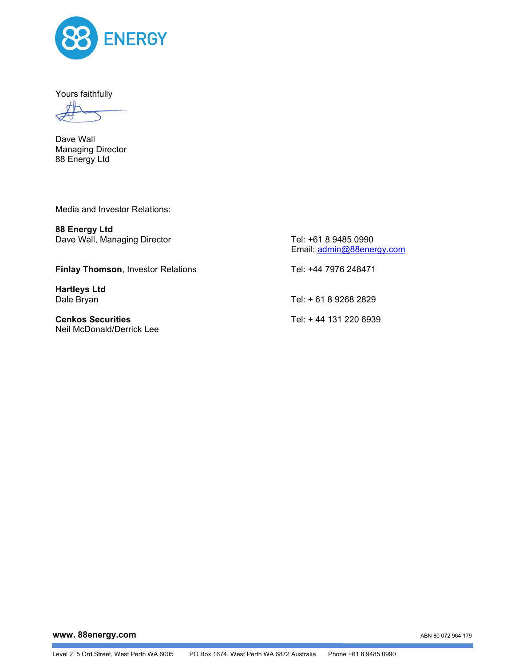

Yours faithfully

Dave Wall Managing Director 88 Energy Ltd

Media and Investor Relations:

**88 Energy Ltd**  Dave Wall, Managing Director Tel: +61 8 9485 0990

**Finlay Thomson**, Investor Relations Tel: +44 7976 248471

**Hartleys Ltd** 

**Cenkos Securities** Tel: + 44 131 220 6939 Neil McDonald/Derrick Lee

Email: admin@88energy.com

Dale Bryan Tel: + 61 8 9268 2829

**www. 88energy.com** 

ABN 80 072 964 179